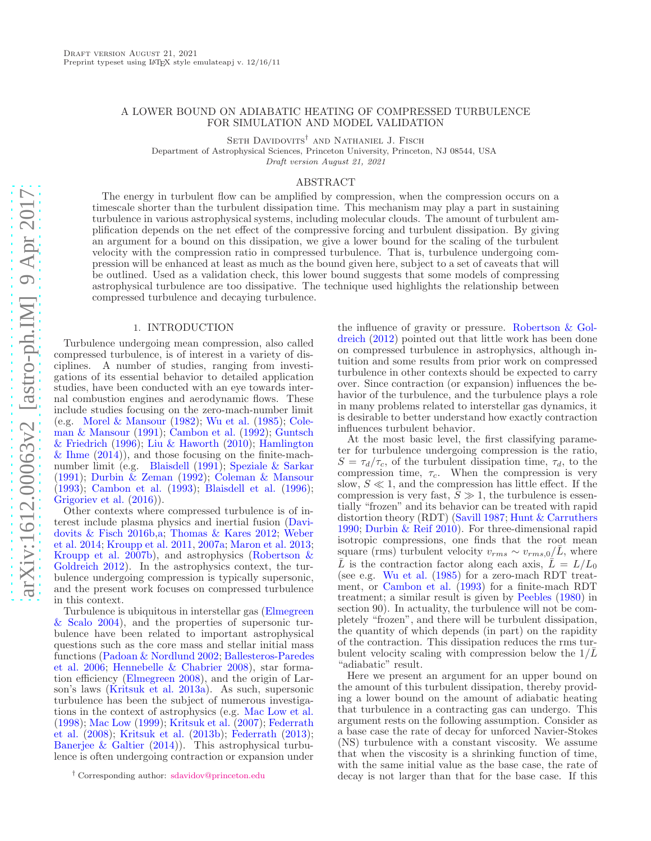# A LOWER BOUND ON ADIABATIC HEATING OF COMPRESSED TURBULENCE FOR SIMULATION AND MODEL VALIDATION

SETH DAVIDOVITS<sup>†</sup> AND NATHANIEL J. FISCH

Department of Astrophysical Sciences, Princeton University, Princeton, NJ 08544, USA

Draft version August 21, 2021

# ABSTRACT

The energy in turbulent flow can be amplified by compression, when the compression occurs on a timescale shorter than the turbulent dissipation time. This mechanism may play a part in sustaining turbulence in various astrophysical systems, including molecular clouds. The amount of turbulent amplification depends on the net effect of the compressive forcing and turbulent dissipation. By giving an argument for a bound on this dissipation, we give a lower bound for the scaling of the turbulent velocity with the compression ratio in compressed turbulence. That is, turbulence undergoing compression will be enhanced at least as much as the bound given here, subject to a set of caveats that will be outlined. Used as a validation check, this lower bound suggests that some models of compressing astrophysical turbulence are too dissipative. The technique used highlights the relationship between compressed turbulence and decaying turbulence.

## 1. INTRODUCTION

<span id="page-0-0"></span>Turbulence undergoing mean compression, also called compressed turbulence, is of interest in a variety of disciplines. A number of studies, ranging from investigations of its essential behavior to detailed application studies, have been conducted with an eye towards internal combustion engines and aerodynamic flows. These include studies focusing on the zero-mach-number limit (e.g. [Morel & Mansour](#page-5-0) [\(1982\)](#page-5-0); [Wu et al.](#page-5-1) [\(1985](#page-5-1)); Coleman & Mansour [\(1991\)](#page-5-2); [Cambon et al.](#page-5-3) [\(1992](#page-5-3)); Guntsch & Friedrich [\(1996\)](#page-5-4); [Liu & Haworth](#page-5-5) [\(2010\)](#page-5-5); Hamlington  $\&$  Ihme  $(2014)$ , and those focusing on the finite-machnumber limit (e.g. [Blaisdell](#page-4-0) [\(1991\)](#page-4-0); [Speziale & Sarkar](#page-5-7) [\(1991\)](#page-5-7); [Durbin & Zeman](#page-5-8) [\(1992](#page-5-8)); [Coleman & Mansour](#page-5-9) [\(1993\)](#page-5-9); [Cambon et al.](#page-4-1) [\(1993](#page-4-1)); [Blaisdell et al.](#page-4-2) [\(1996\)](#page-4-2); [Grigoriev et al.](#page-5-10) [\(2016](#page-5-10))).

Other contexts where compressed turbulence is of interest include [plasma physics and inertial fusion \(](#page-5-11)Davidovits & Fisch [2016b](#page-5-11)[,a](#page-5-12); [Thomas & Kares 2012](#page-5-13)[;](#page-5-14) Weber et al. [2014](#page-5-14); [Kroupp et al. 2011](#page-5-15), [2007a;](#page-5-16) [Maron et al. 2013;](#page-5-17) [Kroupp et al. 2007b](#page-5-18)[\), and astrophysics \(](#page-5-19)Robertson & Goldreich [2012](#page-5-19)). In the astrophysics context, the turbulence undergoing compression is typically supersonic, and the present work focuses on compressed turbulence in this context.

Turbu[lence is ubiquitous in interstellar gas \(](#page-5-20)Elmegreen & Scalo [2004](#page-5-20)), and the properties of supersonic turbulence have been related to important astrophysical questions such as the core mass and stellar initial mass funct[ions](#page-4-3) [\(Padoan & Nordlund 2002](#page-5-21)[;](#page-4-3) Ballesteros-Paredes et al. [2006](#page-4-3); [Hennebelle & Chabrier 2008\)](#page-5-22), star formation efficiency [\(Elmegreen 2008](#page-5-23)), and the origin of Larson's laws [\(Kritsuk et al. 2013a](#page-5-24)). As such, supersonic turbulence has been the subject of numerous investigations in the context of astrophysics (e.g. [Mac Low et al.](#page-5-25) [\(1998\)](#page-5-25); [Mac Low](#page-5-26) [\(1999](#page-5-26)); [Kritsuk et al.](#page-5-27) [\(2007\)](#page-5-27); Federrath et al. [\(2008](#page-5-28)); [Kritsuk et al.](#page-5-29) [\(2013b](#page-5-29)); [Federrath](#page-5-30) [\(2013\)](#page-5-30); [Banerjee & Galtier](#page-4-4) [\(2014](#page-4-4))). This astrophysical turbulence is often undergoing contraction or expansion under

the in[fluence of gravity or pressure.](#page-5-19) Robertson & Goldreich [\(2012](#page-5-19)) pointed out that little work has been done on compressed turbulence in astrophysics, although intuition and some results from prior work on compressed turbulence in other contexts should be expected to carry over. Since contraction (or expansion) influences the behavior of the turbulence, and the turbulence plays a role in many problems related to interstellar gas dynamics, it is desirable to better understand how exactly contraction influences turbulent behavior.

At the most basic level, the first classifying parameter for turbulence undergoing compression is the ratio,  $S = \tau_d/\tau_c$ , of the turbulent dissipation time,  $\tau_d$ , to the compression time,  $\tau_c$ . When the compression is very slow,  $S \ll 1$ , and the compression has little effect. If the compression is very fast,  $S \gg 1$ , the turbulence is essentially "frozen" and its behavior can be treated with rapid distortion theory (RDT) [\(Savill 1987](#page-5-31); [Hunt & Carruthers](#page-5-32) [1990;](#page-5-32) [Durbin & Reif 2010](#page-5-33)). For three-dimensional rapid isotropic compressions, one finds that the root mean square (rms) turbulent velocity  $v_{rms} \sim v_{rms,0}/L$ , where  $\overline{L}$  is the contraction factor along each axis,  $\overline{L} = L/L_0$ (see e.g. [Wu et al.](#page-5-1) [\(1985](#page-5-1)) for a zero-mach RDT treatment, or [Cambon et al.](#page-4-1) [\(1993](#page-4-1)) for a finite-mach RDT treatment; a similar result is given by [Peebles](#page-5-34) [\(1980](#page-5-34)) in section 90). In actuality, the turbulence will not be completely "frozen", and there will be turbulent dissipation, the quantity of which depends (in part) on the rapidity of the contraction. This dissipation reduces the rms turbulent velocity scaling with compression below the  $1/\overline{L}$ "adiabatic" result.

Here we present an argument for an upper bound on the amount of this turbulent dissipation, thereby providing a lower bound on the amount of adiabatic heating that turbulence in a contracting gas can undergo. This argument rests on the following assumption. Consider as a base case the rate of decay for unforced Navier-Stokes (NS) turbulence with a constant viscosity. We assume that when the viscosity is a shrinking function of time, with the same initial value as the base case, the rate of decay is not larger than that for the base case. If this

<sup>†</sup> Corresponding author: [sdavidov@princeton.edu](mailto:sdavidov@princeton.edu)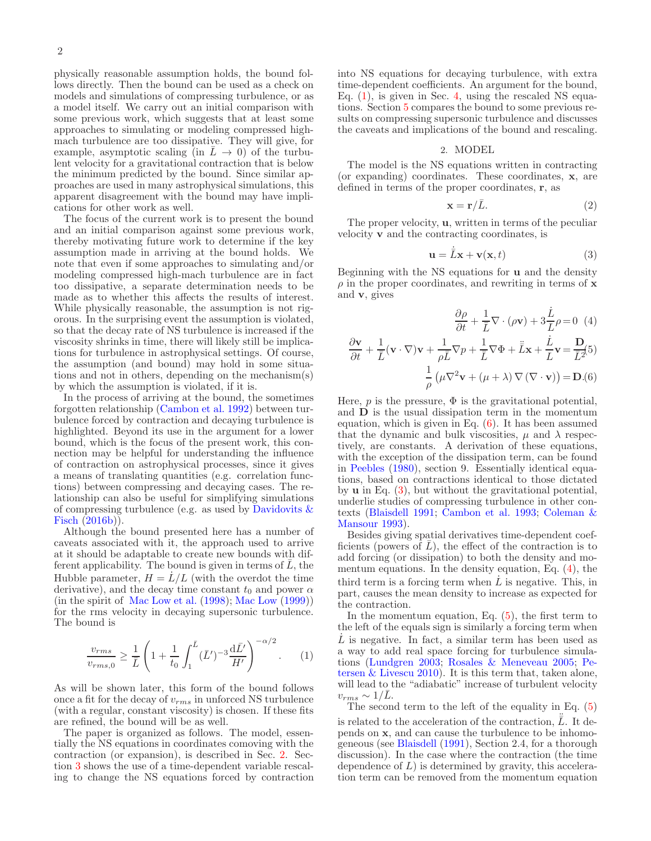physically reasonable assumption holds, the bound follows directly. Then the bound can be used as a check on models and simulations of compressing turbulence, or as a model itself. We carry out an initial comparison with some previous work, which suggests that at least some approaches to simulating or modeling compressed highmach turbulence are too dissipative. They will give, for example, asymptotic scaling (in  $\overline{L} \rightarrow 0$ ) of the turbulent velocity for a gravitational contraction that is below the minimum predicted by the bound. Since similar approaches are used in many astrophysical simulations, this apparent disagreement with the bound may have implications for other work as well.

The focus of the current work is to present the bound and an initial comparison against some previous work, thereby motivating future work to determine if the key assumption made in arriving at the bound holds. We note that even if some approaches to simulating and/or modeling compressed high-mach turbulence are in fact too dissipative, a separate determination needs to be made as to whether this affects the results of interest. While physically reasonable, the assumption is not rigorous. In the surprising event the assumption is violated, so that the decay rate of NS turbulence is increased if the viscosity shrinks in time, there will likely still be implications for turbulence in astrophysical settings. Of course, the assumption (and bound) may hold in some situations and not in others, depending on the mechanism(s) by which the assumption is violated, if it is.

In the process of arriving at the bound, the sometimes forgotten relationship [\(Cambon et al. 1992](#page-5-3)) between turbulence forced by contraction and decaying turbulence is highlighted. Beyond its use in the argument for a lower bound, which is the focus of the present work, this connection may be helpful for understanding the influence of contraction on astrophysical processes, since it gives a means of translating quantities (e.g. correlation functions) between compressing and decaying cases. The relationship can also be useful for simplifying simulations of co[mpressing turbulence \(e.g. as used by](#page-5-11) Davidovits  $\&$ Fisch [\(2016b](#page-5-11))).

Although the bound presented here has a number of caveats associated with it, the approach used to arrive at it should be adaptable to create new bounds with different applicability. The bound is given in terms of  $\overline{L}$ , the Hubble parameter,  $H = L/L$  (with the overdot the time derivative), and the decay time constant  $t_0$  and power  $\alpha$ (in the spirit of [Mac Low et al.](#page-5-25) [\(1998](#page-5-25)); [Mac Low](#page-5-26) [\(1999\)](#page-5-26)) for the rms velocity in decaying supersonic turbulence. The bound is

<span id="page-1-1"></span>
$$
\frac{v_{rms}}{v_{rms,0}} \ge \frac{1}{\bar{L}} \left( 1 + \frac{1}{t_0} \int_1^{\bar{L}} (\bar{L}')^{-3} \frac{d\bar{L}'}{H'} \right)^{-\alpha/2}.
$$
 (1)

As will be shown later, this form of the bound follows once a fit for the decay of  $v_{rms}$  in unforced NS turbulence (with a regular, constant viscosity) is chosen. If these fits are refined, the bound will be as well.

The paper is organized as follows. The model, essentially the NS equations in coordinates comoving with the contraction (or expansion), is described in Sec. [2.](#page-1-0) Section [3](#page-2-0) shows the use of a time-dependent variable rescaling to change the NS equations forced by contraction into NS equations for decaying turbulence, with extra time-dependent coefficients. An argument for the bound, Eq.  $(1)$ , is given in Sec. [4,](#page-2-1) using the rescaled NS equations. Section [5](#page-2-2) compares the bound to some previous results on compressing supersonic turbulence and discusses the caveats and implications of the bound and rescaling.

### 2. MODEL

<span id="page-1-0"></span>The model is the NS equations written in contracting (or expanding) coordinates. These coordinates, x, are defined in terms of the proper coordinates, r, as

<span id="page-1-3"></span>
$$
\mathbf{x} = \mathbf{r}/\bar{L}.\tag{2}
$$

The proper velocity, u, written in terms of the peculiar velocity v and the contracting coordinates, is

<span id="page-1-2"></span>
$$
\mathbf{u} = \dot{\bar{L}}\mathbf{x} + \mathbf{v}(\mathbf{x}, t) \tag{3}
$$

Beginning with the NS equations for u and the density  $\rho$  in the proper coordinates, and rewriting in terms of **x** and v, gives

$$
\frac{\partial \rho}{\partial t} + \frac{1}{\overline{L}} \nabla \cdot (\rho \mathbf{v}) + 3 \frac{\dot{L}}{L} \rho = 0 \quad (4)
$$

$$
\frac{\partial \mathbf{v}}{\partial t} + \frac{1}{\overline{L}} (\mathbf{v} \cdot \nabla) \mathbf{v} + \frac{1}{\rho \overline{L}} \nabla p + \frac{1}{\overline{L}} \nabla \Phi + \dot{\overline{L}} \mathbf{x} + \frac{\dot{L}}{L} \mathbf{v} = \frac{\mathbf{D}}{\overline{L}^2} (5)
$$

$$
\frac{1}{\rho} (\mu \nabla^2 \mathbf{v} + (\mu + \lambda) \nabla (\nabla \cdot \mathbf{v})) = \mathbf{D} . (6)
$$

Here,  $p$  is the pressure,  $\Phi$  is the gravitational potential, and D is the usual dissipation term in the momentum equation, which is given in Eq.  $(6)$ . It has been assumed that the dynamic and bulk viscosities,  $\mu$  and  $\lambda$  respectively, are constants. A derivation of these equations, with the exception of the dissipation term, can be found in [Peebles](#page-5-34) [\(1980\)](#page-5-34), section 9. Essentially identical equations, based on contractions identical to those dictated by u in Eq. [\(3\)](#page-1-3), but without the gravitational potential, underlie studies of compressing turbulence in other contexts [\(Blaisdell 1991;](#page-4-0) [Cambon et al. 1993;](#page-4-1) Coleman & Mansour [1993](#page-5-9)).

Besides giving spatial derivatives time-dependent coefficients (powers of  $L$ ), the effect of the contraction is to add forcing (or dissipation) to both the density and momentum equations. In the density equation, Eq. [\(4\)](#page-1-2), the third term is a forcing term when  $\dot{L}$  is negative. This, in part, causes the mean density to increase as expected for the contraction.

In the momentum equation, Eq.  $(5)$ , the first term to the left of the equals sign is similarly a forcing term when  $\dot{L}$  is negative. In fact, a similar term has been used as a way to add real space forcing for turbulence simulations [\(Lundgren 2003](#page-5-35); [Rosales & Meneveau 2005](#page-5-36)[;](#page-5-37) Petersen & Livescu [2010\)](#page-5-37). It is this term that, taken alone, will lead to the "adiabatic" increase of turbulent velocity  $v_{rms} \sim 1/L$ .

The second term to the left of the equality in Eq. [\(5\)](#page-1-2) is related to the acceleration of the contraction,  $\ddot{\bar{L}}$ . It depends on x, and can cause the turbulence to be inhomogeneous (see [Blaisdell](#page-4-0) [\(1991\)](#page-4-0), Section 2.4, for a thorough discussion). In the case where the contraction (the time dependence of  $L$ ) is determined by gravity, this acceleration term can be removed from the momentum equation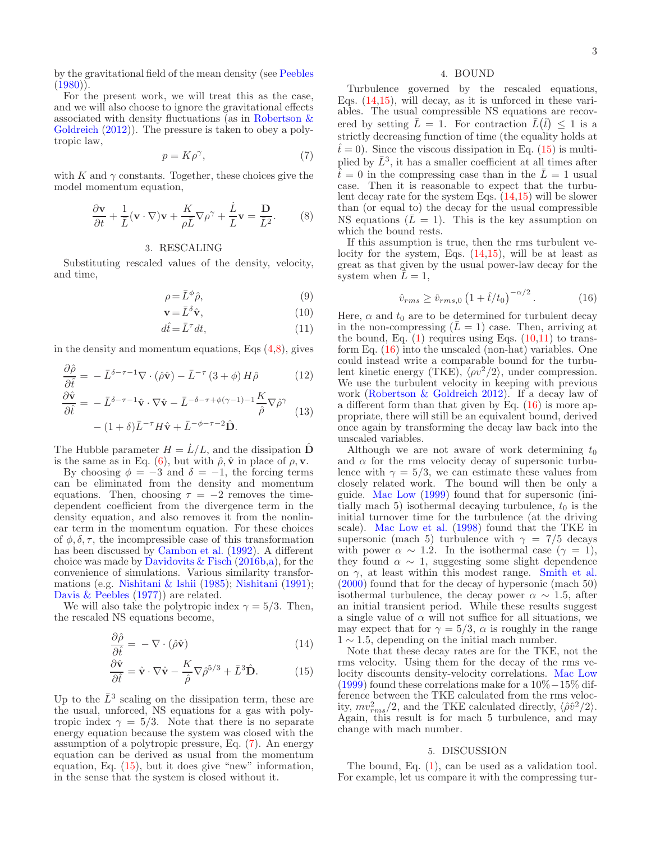by the gravitational field of the mean density (see [Peebles](#page-5-34)  $(1980)$ .

For the present work, we will treat this as the case, and we will also choose to ignore the gravitational effects associate[d with density fluctuations \(as in](#page-5-19) Robertson & Goldreich  $(2012)$ ). The pressure is taken to obey a polytropic law,

<span id="page-2-4"></span><span id="page-2-3"></span>
$$
p = K\rho^{\gamma},\tag{7}
$$

with K and  $\gamma$  constants. Together, these choices give the model momentum equation,

$$
\frac{\partial \mathbf{v}}{\partial t} + \frac{1}{\bar{L}} (\mathbf{v} \cdot \nabla) \mathbf{v} + \frac{K}{\rho \bar{L}} \nabla \rho^{\gamma} + \frac{\dot{L}}{L} \mathbf{v} = \frac{\mathbf{D}}{\bar{L}^{2}}.
$$
 (8)

## 3. RESCALING

<span id="page-2-0"></span>Substituting rescaled values of the density, velocity, and time,

<span id="page-2-7"></span>
$$
\rho = \bar{L}^{\phi}\hat{\rho},\tag{9}
$$

$$
\mathbf{v} = \bar{L}^{\delta}\hat{\mathbf{v}},\tag{10}
$$

$$
d\hat{t} = \bar{L}^{\tau} dt,\tag{11}
$$

in the density and momentum equations, Eqs  $(4,8)$  $(4,8)$ , gives

$$
\frac{\partial \hat{\rho}}{\partial \hat{t}} = -\bar{L}^{\delta - \tau - 1} \nabla \cdot (\hat{\rho} \hat{\mathbf{v}}) - \bar{L}^{-\tau} (3 + \phi) H \hat{\rho} \qquad (12)
$$

$$
\frac{\partial \hat{\mathbf{v}}}{\partial \hat{\mathbf{v}} \qquad \bar{L}^{\delta - \tau - 1} \hat{\mathbf{v}} \quad \nabla \hat{\mathbf{v}} \qquad \bar{L}^{-\delta - \tau + \phi(\gamma - 1) - 1} K_{\nabla \hat{\mathbf{v}}}
$$

$$
\frac{\partial \hat{\mathbf{v}}}{\partial \hat{t}} = -\bar{L}^{\delta - \tau - 1} \hat{\mathbf{v}} \cdot \nabla \hat{\mathbf{v}} - \bar{L}^{-\delta - \tau + \phi(\gamma - 1) - 1} \frac{K}{\hat{\rho}} \nabla \hat{\rho}^{\gamma} \n\tag{13}
$$
\n
$$
- (1 + \delta) \bar{L}^{-\tau} H \hat{\mathbf{v}} + \bar{L}^{-\phi - \tau - 2} \hat{\mathbf{D}}.
$$

The Hubble parameter  $H = \dot{L}/L$ , and the dissipation  $\hat{D}$ is the same as in Eq. [\(6\)](#page-1-2), but with  $\hat{\rho}, \hat{\mathbf{v}}$  in place of  $\rho, \mathbf{v}$ .

By choosing  $\phi = -3$  and  $\delta = -1$ , the forcing terms can be eliminated from the density and momentum equations. Then, choosing  $\tau = -2$  removes the timedependent coefficient from the divergence term in the density equation, and also removes it from the nonlinear term in the momentum equation. For these choices of  $\phi$ ,  $\delta$ ,  $\tau$ , the incompressible case of this transformation has been discussed by [Cambon et al.](#page-5-3) [\(1992\)](#page-5-3). A different choice was made by Davidovits  $&$  Fisch [\(2016b](#page-5-11)[,a\)](#page-5-12), for the convenience of simulations. Various similarity transformations (e.g. [Nishitani & Ishii](#page-5-38) [\(1985\)](#page-5-38); [Nishitani](#page-5-39) [\(1991\)](#page-5-39); [Davis & Peebles](#page-5-40) [\(1977\)](#page-5-40)) are related.

We will also take the polytropic index  $\gamma = 5/3$ . Then, the rescaled NS equations become,

$$
\frac{\partial \hat{\rho}}{\partial \hat{t}} = -\nabla \cdot (\hat{\rho} \hat{\mathbf{v}})
$$
(14)

$$
\frac{\partial \hat{\mathbf{v}}}{\partial \hat{t}} = \hat{\mathbf{v}} \cdot \nabla \hat{\mathbf{v}} - \frac{K}{\hat{\rho}} \nabla \hat{\rho}^{5/3} + \bar{L}^3 \hat{\mathbf{D}}.
$$
 (15)

Up to the  $\bar{L}^3$  scaling on the dissipation term, these are the usual, unforced, NS equations for a gas with polytropic index  $\gamma = 5/3$ . Note that there is no separate energy equation because the system was closed with the assumption of a polytropic pressure, Eq. [\(7\)](#page-2-4). An energy equation can be derived as usual from the momentum equation, Eq. [\(15\)](#page-2-5), but it does give "new" information, in the sense that the system is closed without it.

# 4. BOUND

<span id="page-2-1"></span>Turbulence governed by the rescaled equations, Eqs. [\(14](#page-2-6)[,15\)](#page-2-5), will decay, as it is unforced in these variables. The usual compressible NS equations are recovered by setting  $\overline{L} = 1$ . For contraction  $\overline{L}(\hat{t}) \leq 1$  is a strictly decreasing function of time (the equality holds at  $t<sup>2</sup> = 0$ . Since the viscous dissipation in Eq. [\(15\)](#page-2-5) is multiplied by  $\bar{L}^3$ , it has a smaller coefficient at all times after  $t=0$  in the compressing case than in the  $\bar{L}=1$  usual case. Then it is reasonable to expect that the turbulent decay rate for the system Eqs. [\(14](#page-2-6)[,15\)](#page-2-5) will be slower than (or equal to) the decay for the usual compressible NS equations  $(\bar{L} = 1)$ . This is the key assumption on which the bound rests.

If this assumption is true, then the rms turbulent velocity for the system, Eqs.  $(14,15)$  $(14,15)$ , will be at least as great as that given by the usual power-law decay for the system when  $L=1$ ,

<span id="page-2-8"></span>
$$
\hat{v}_{rms} \ge \hat{v}_{rms,0} \left( 1 + \hat{t}/t_0 \right)^{-\alpha/2}.
$$
 (16)

Here,  $\alpha$  and  $t_0$  are to be determined for turbulent decay in the non-compressing  $(L = 1)$  case. Then, arriving at the bound, Eq.  $(1)$  requires using Eqs.  $(10,11)$  to transform Eq. [\(16\)](#page-2-8) into the unscaled (non-hat) variables. One could instead write a comparable bound for the turbulent kinetic energy (TKE),  $\langle \rho v^2/2 \rangle$ , under compression. We use the turbulent velocity in keeping with previous work [\(Robertson & Goldreich 2012\)](#page-5-19). If a decay law of a different form than that given by Eq.  $(16)$  is more appropriate, there will still be an equivalent bound, derived once again by transforming the decay law back into the unscaled variables.

<span id="page-2-9"></span>Although we are not aware of work determining  $t_0$ and  $\alpha$  for the rms velocity decay of supersonic turbulence with  $\gamma = 5/3$ , we can estimate these values from closely related work. The bound will then be only a guide. [Mac Low](#page-5-26) [\(1999](#page-5-26)) found that for supersonic (initially mach 5) isothermal decaying turbulence,  $t_0$  is the initial turnover time for the turbulence (at the driving scale). [Mac Low et al.](#page-5-25) [\(1998\)](#page-5-25) found that the TKE in supersonic (mach 5) turbulence with  $\gamma = 7/5$  decays with power  $\alpha \sim 1.2$ . In the isothermal case ( $\gamma = 1$ ), they found  $\alpha \sim 1$ , suggesting some slight dependence on  $\gamma$ , at least within this modest range. [Smith et al.](#page-5-41) [\(2000\)](#page-5-41) found that for the decay of hypersonic (mach 50) isothermal turbulence, the decay power  $\alpha \sim 1.5$ , after an initial transient period. While these results suggest a single value of  $\alpha$  will not suffice for all situations, we may expect that for  $\gamma = 5/3$ ,  $\alpha$  is roughly in the range  $1 \sim 1.5$ , depending on the initial mach number.

<span id="page-2-6"></span><span id="page-2-5"></span>Note that these decay rates are for the TKE, not the rms velocity. Using them for the decay of the rms velocity discounts density-velocity correlations. [Mac Low](#page-5-26) [\(1999\)](#page-5-26) found these correlations make for a 10%−15% difference between the TKE calculated from the rms velocity,  $mv_{rms}^2/2$ , and the TKE calculated directly,  $\langle \hat{\rho} \hat{v}^2/2 \rangle$ . Again, this result is for mach 5 turbulence, and may change with mach number.

### 5. DISCUSSION

<span id="page-2-2"></span>The bound, Eq. [\(1\)](#page-1-1), can be used as a validation tool. For example, let us compare it with the compressing tur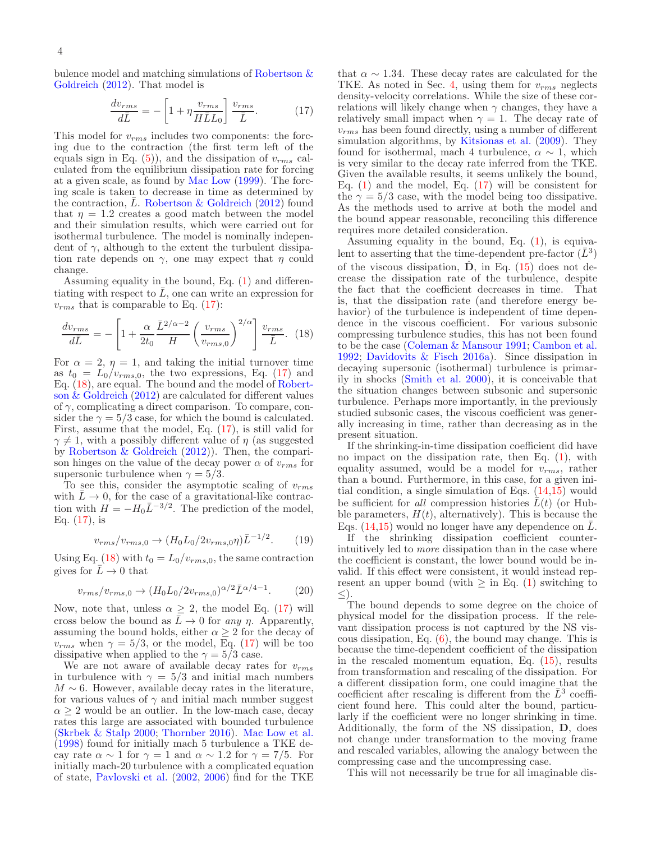bulence [model and matching simulations of](#page-5-19) Robertson & Goldreich [\(2012](#page-5-19)). That model is

<span id="page-3-0"></span>
$$
\frac{dv_{rms}}{d\bar{L}} = -\left[1 + \eta \frac{v_{rms}}{H\bar{L}L_0}\right] \frac{v_{rms}}{\bar{L}}.\tag{17}
$$

This model for  $v_{rms}$  includes two components: the forcing due to the contraction (the first term left of the equals sign in Eq.  $(5)$ , and the dissipation of  $v_{rms}$  calculated from the equilibrium dissipation rate for forcing at a given scale, as found by [Mac Low](#page-5-26) [\(1999](#page-5-26)). The forcing scale is taken to decrease in time as determined by the contraction,  $\bar{L}$ . [Robertson & Goldreich](#page-5-19) [\(2012\)](#page-5-19) found that  $\eta = 1.2$  creates a good match between the model and their simulation results, which were carried out for isothermal turbulence. The model is nominally independent of  $\gamma$ , although to the extent the turbulent dissipation rate depends on  $\gamma$ , one may expect that  $\eta$  could change.

Assuming equality in the bound, Eq. [\(1\)](#page-1-1) and differentiating with respect to  $\overline{L}$ , one can write an expression for  $v_{rms}$  that is comparable to Eq. [\(17\)](#page-3-0):

$$
\frac{dv_{rms}}{d\bar{L}} = -\left[1 + \frac{\alpha}{2t_0} \frac{\bar{L}^{2/\alpha - 2}}{H} \left(\frac{v_{rms}}{v_{rms,0}}\right)^{2/\alpha}\right] \frac{v_{rms}}{\bar{L}}.\tag{18}
$$

For  $\alpha = 2$ ,  $\eta = 1$ , and taking the initial turnover time as  $t_0 = L_0/v_{rms,0}$ , the two expressions, Eq. [\(17\)](#page-3-0) and Eq. [\(18\)](#page-3-1), are eq[ual. The bound and the model of](#page-5-19) Robertson  $\&$  Goldreich [\(2012\)](#page-5-19) are calculated for different values of  $\gamma$ , complicating a direct comparison. To compare, consider the  $\gamma = 5/3$  case, for which the bound is calculated. First, assume that the model, Eq. [\(17\)](#page-3-0), is still valid for  $\gamma \neq 1$ , with a possibly different value of  $\eta$  (as suggested by [Robertson & Goldreich](#page-5-19) [\(2012](#page-5-19))). Then, the comparison hinges on the value of the decay power  $\alpha$  of  $v_{rms}$  for supersonic turbulence when  $\gamma = 5/3$ .

To see this, consider the asymptotic scaling of  $v_{rms}$ with  $\bar{L} \rightarrow 0$ , for the case of a gravitational-like contraction with  $H = -H_0 \bar{L}^{-3/2}$ . The prediction of the model, Eq.  $(17)$ , is

<span id="page-3-2"></span>
$$
v_{rms}/v_{rms,0} \rightarrow (H_0 L_0 / 2v_{rms,0} \eta) \bar{L}^{-1/2}.
$$
 (19)

Using Eq. [\(18\)](#page-3-1) with  $t_0 = L_0/v_{rms,0}$ , the same contraction gives for  $\bar{L} \to 0$  that

$$
v_{rms}/v_{rms,0} \to (H_0 L_0 / 2v_{rms,0})^{\alpha/2} \bar{L}^{\alpha/4 - 1}.
$$
 (20)

Now, note that, unless  $\alpha \geq 2$ , the model Eq. [\(17\)](#page-3-0) will cross below the bound as  $\bar{L} \rightarrow 0$  for any  $\eta$ . Apparently, assuming the bound holds, either  $\alpha \geq 2$  for the decay of  $v_{rms}$  when  $\gamma = 5/3$ , or the model, Eq. [\(17\)](#page-3-0) will be too dissipative when applied to the  $\gamma = 5/3$  case.

We are not aware of available decay rates for  $v_{rms}$ in turbulence with  $\gamma = 5/3$  and initial mach numbers  $M \sim 6$ . However, available decay rates in the literature, for various values of  $\gamma$  and initial mach number suggest  $\alpha \geq 2$  would be an outlier. In the low-mach case, decay rates this large are associated with bounded turbulence [\(Skrbek & Stalp 2000](#page-5-42); [Thornber 2016](#page-5-43)). [Mac Low et al.](#page-5-25) [\(1998\)](#page-5-25) found for initially mach 5 turbulence a TKE decay rate  $\alpha \sim 1$  for  $\gamma = 1$  and  $\alpha \sim 1.2$  for  $\gamma = 7/5$ . For initially mach-20 turbulence with a complicated equation of state, [Pavlovski et al.](#page-5-44) [\(2002,](#page-5-44) [2006](#page-5-45)) find for the TKE

that  $\alpha \sim 1.34$ . These decay rates are calculated for the TKE. As noted in Sec. [4,](#page-2-1) using them for  $v_{rms}$  neglects density-velocity correlations. While the size of these correlations will likely change when  $\gamma$  changes, they have a relatively small impact when  $\gamma = 1$ . The decay rate of  $v_{rms}$  has been found directly, using a number of different simulation algorithms, by [Kitsionas et al.](#page-5-46)  $(2009)$ . They found for isothermal, mach 4 turbulence,  $\alpha \sim 1$ , which is very similar to the decay rate inferred from the TKE. Given the available results, it seems unlikely the bound, Eq.  $(1)$  and the model, Eq.  $(17)$  will be consistent for the  $\gamma = 5/3$  case, with the model being too dissipative. As the methods used to arrive at both the model and the bound appear reasonable, reconciling this difference requires more detailed consideration.

<span id="page-3-1"></span>Assuming equality in the bound, Eq.  $(1)$ , is equivalent to asserting that the time-dependent pre-factor  $(\bar{L}^3)$ of the viscous dissipation,  $\dot{\mathbf{D}}$ , in Eq. [\(15\)](#page-2-5) does not decrease the dissipation rate of the turbulence, despite the fact that the coefficient decreases in time. That is, that the dissipation rate (and therefore energy behavior) of the turbulence is independent of time dependence in the viscous coefficient. For various subsonic compressing turbulence studies, this has not been found to be the case [\(Coleman & Mansour 1991;](#page-5-2) [Cambon et al.](#page-5-3) [1992;](#page-5-3) [Davidovits & Fisch 2016a\)](#page-5-12). Since dissipation in decaying supersonic (isothermal) turbulence is primarily in shocks [\(Smith et al. 2000](#page-5-41)), it is conceivable that the situation changes between subsonic and supersonic turbulence. Perhaps more importantly, in the previously studied subsonic cases, the viscous coefficient was generally increasing in time, rather than decreasing as in the present situation.

If the shrinking-in-time dissipation coefficient did have no impact on the dissipation rate, then Eq.  $(1)$ , with equality assumed, would be a model for  $v_{rms}$ , rather than a bound. Furthermore, in this case, for a given initial condition, a single simulation of Eqs. [\(14,](#page-2-6)[15\)](#page-2-5) would be sufficient for all compression histories  $\bar{L}(t)$  (or Hubble parameters,  $H(t)$ , alternatively). This is because the Eqs. [\(14](#page-2-6)[,15\)](#page-2-5) would no longer have any dependence on  $\overline{L}$ .

If the shrinking dissipation coefficient counterintuitively led to more dissipation than in the case where the coefficient is constant, the lower bound would be invalid. If this effect were consistent, it would instead represent an upper bound (with  $\geq$  in Eq. [\(1\)](#page-1-1) switching to ≤).

The bound depends to some degree on the choice of physical model for the dissipation process. If the relevant dissipation process is not captured by the NS viscous dissipation, Eq.  $(6)$ , the bound may change. This is because the time-dependent coefficient of the dissipation in the rescaled momentum equation, Eq. [\(15\)](#page-2-5), results from transformation and rescaling of the dissipation. For a different dissipation form, one could imagine that the coefficient after rescaling is different from the  $\bar{L}^3$  coefficient found here. This could alter the bound, particularly if the coefficient were no longer shrinking in time. Additionally, the form of the NS dissipation, D, does not change under transformation to the moving frame and rescaled variables, allowing the analogy between the compressing case and the uncompressing case.

This will not necessarily be true for all imaginable dis-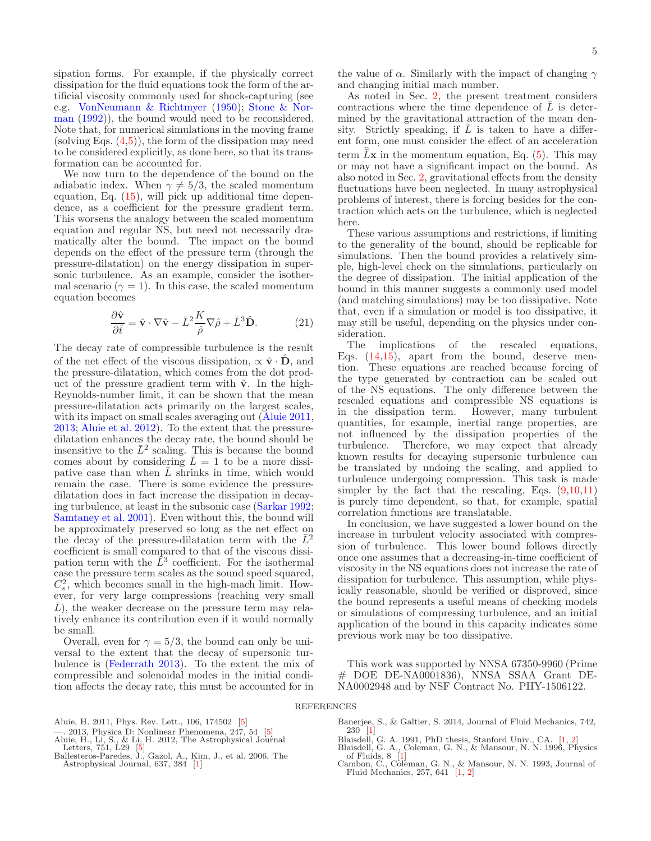sipation forms. For example, if the physically correct dissipation for the fluid equations took the form of the artificial viscosity commonly used for shock-capturing (see e.g. [VonNeumann & Richtmyer](#page-5-47) [\(1950](#page-5-47)); Stone & Norman [\(1992](#page-5-48))), the bound would need to be reconsidered. Note that, for numerical simulations in the moving frame (solving Eqs.  $(4,5)$ ), the form of the dissipation may need to be considered explicitly, as done here, so that its transformation can be accounted for.

We now turn to the dependence of the bound on the adiabatic index. When  $\gamma \neq 5/3$ , the scaled momentum equation, Eq. [\(15\)](#page-2-5), will pick up additional time dependence, as a coefficient for the pressure gradient term. This worsens the analogy between the scaled momentum equation and regular NS, but need not necessarily dramatically alter the bound. The impact on the bound depends on the effect of the pressure term (through the pressure-dilatation) on the energy dissipation in supersonic turbulence. As an example, consider the isothermal scenario ( $\gamma = 1$ ). In this case, the scaled momentum equation becomes

<span id="page-4-8"></span>
$$
\frac{\partial \hat{\mathbf{v}}}{\partial \hat{t}} = \hat{\mathbf{v}} \cdot \nabla \hat{\mathbf{v}} - \bar{L}^2 \frac{K}{\hat{\rho}} \nabla \hat{\rho} + \bar{L}^3 \hat{\mathbf{D}}.
$$
 (21)

The decay rate of compressible turbulence is the result of the net effect of the viscous dissipation,  $\alpha \hat{\mathbf{v}} \cdot \mathbf{D}$ , and the pressure-dilatation, which comes from the dot product of the pressure gradient term with  $\hat{v}$ . In the high-Reynolds-number limit, it can be shown that the mean pressure-dilatation acts primarily on the largest scales, with its impact on small scales averaging out [\(Aluie 2011,](#page-4-5) [2013;](#page-4-6) [Aluie et al. 2012\)](#page-4-7). To the extent that the pressuredilatation enhances the decay rate, the bound should be insensitive to the  $\bar{L}^2$  scaling. This is because the bound comes about by considering  $\overline{L} = 1$  to be a more dissipative case than when  $L$  shrinks in time, which would remain the case. There is some evidence the pressuredilatation does in fact increase the dissipation in decaying turbulence, at least in the subsonic case [\(Sarkar 1992;](#page-5-49) [Samtaney et al. 2001](#page-5-50)). Even without this, the bound will be approximately preserved so long as the net effect on the decay of the pressure-dilatation term with the  $\bar{L}^2$ coefficient is small compared to that of the viscous dissipation term with the  $\vec{L}^3$  coefficient. For the isothermal case the pressure term scales as the sound speed squared,  $C_s^2$ , which becomes small in the high-mach limit. However, for very large compressions (reaching very small  $\overline{L}$ ), the weaker decrease on the pressure term may relatively enhance its contribution even if it would normally be small.

Overall, even for  $\gamma = 5/3$ , the bound can only be universal to the extent that the decay of supersonic turbulence is [\(Federrath 2013](#page-5-30)). To the extent the mix of compressible and solenoidal modes in the initial condition affects the decay rate, this must be accounted for in the value of  $\alpha$ . Similarly with the impact of changing  $\gamma$ and changing initial mach number.

As noted in Sec. [2,](#page-1-0) the present treatment considers contractions where the time dependence of  $\overline{L}$  is determined by the gravitational attraction of the mean density. Strictly speaking, if  $\overline{L}$  is taken to have a different form, one must consider the effect of an acceleration term  $\ddot{\bar{L}}\mathbf{x}$  in the momentum equation, Eq. [\(5\)](#page-1-2). This may or may not have a significant impact on the bound. As also noted in Sec. [2,](#page-1-0) gravitational effects from the density fluctuations have been neglected. In many astrophysical problems of interest, there is forcing besides for the contraction which acts on the turbulence, which is neglected here.

These various assumptions and restrictions, if limiting to the generality of the bound, should be replicable for simulations. Then the bound provides a relatively simple, high-level check on the simulations, particularly on the degree of dissipation. The initial application of the bound in this manner suggests a commonly used model (and matching simulations) may be too dissipative. Note that, even if a simulation or model is too dissipative, it may still be useful, depending on the physics under consideration.<br>The implications

of the rescaled equations, Eqs. [\(14](#page-2-6)[,15\)](#page-2-5), apart from the bound, deserve mention. These equations are reached because forcing of the type generated by contraction can be scaled out of the NS equations. The only difference between the rescaled equations and compressible NS equations is in the dissipation term. However, many turbulent quantities, for example, inertial range properties, are not influenced by the dissipation properties of the turbulence. Therefore, we may expect that already known results for decaying supersonic turbulence can be translated by undoing the scaling, and applied to turbulence undergoing compression. This task is made simpler by the fact that the rescaling, Eqs.  $(9,10,11)$ is purely time dependent, so that, for example, spatial correlation functions are translatable.

In conclusion, we have suggested a lower bound on the increase in turbulent velocity associated with compression of turbulence. This lower bound follows directly once one assumes that a decreasing-in-time coefficient of viscosity in the NS equations does not increase the rate of dissipation for turbulence. This assumption, while physically reasonable, should be verified or disproved, since the bound represents a useful means of checking models or simulations of compressing turbulence, and an initial application of the bound in this capacity indicates some previous work may be too dissipative.

This work was supported by NNSA 67350-9960 (Prime # DOE DE-NA0001836), NNSA SSAA Grant DE-NA0002948 and by NSF Contract No. PHY-1506122.

#### REFERENCES

<span id="page-4-5"></span>Aluie, H. 2011, Phys. Rev. Lett., 106, 174502 [\[5\]](#page-4-8)

- <span id="page-4-6"></span>—. 2013, Physica D: Nonlinear Phenomena, 247, 54 [\[5\]](#page-4-8) Aluie, H., Li, S., & Li, H. 2012, The Astrophysical Journal
- <span id="page-4-7"></span>Letters, 751, L29 [\[5\]](#page-4-8) Ballesteros-Paredes, J., Gazol, A., Kim, J., et al. 2006, The
- <span id="page-4-3"></span>Astrophysical Journal, 637, 384 [\[1\]](#page-0-0)
- <span id="page-4-4"></span>Banerjee, S., & Galtier, S. 2014, Journal of Fluid Mechanics, 742, 230 [\[1\]](#page-0-0)
- <span id="page-4-0"></span>Blaisdell, G. A. 1991, PhD thesis, Stanford Univ., CA. [\[1,](#page-0-0) [2\]](#page-1-2)
- <span id="page-4-2"></span><span id="page-4-1"></span>
- Blaisdell, G. A., Coleman, G. N., & Mansour, N. N. 1996, Physics<br>of Fluids, 8 [\[1\]](#page-0-0)<br>Cambon, C. N., & Mansour, N. N. 1993, Journal of<br>Fluid Mechanics, 257, 641 [\[1,](#page-0-0) [2\]](#page-1-2)